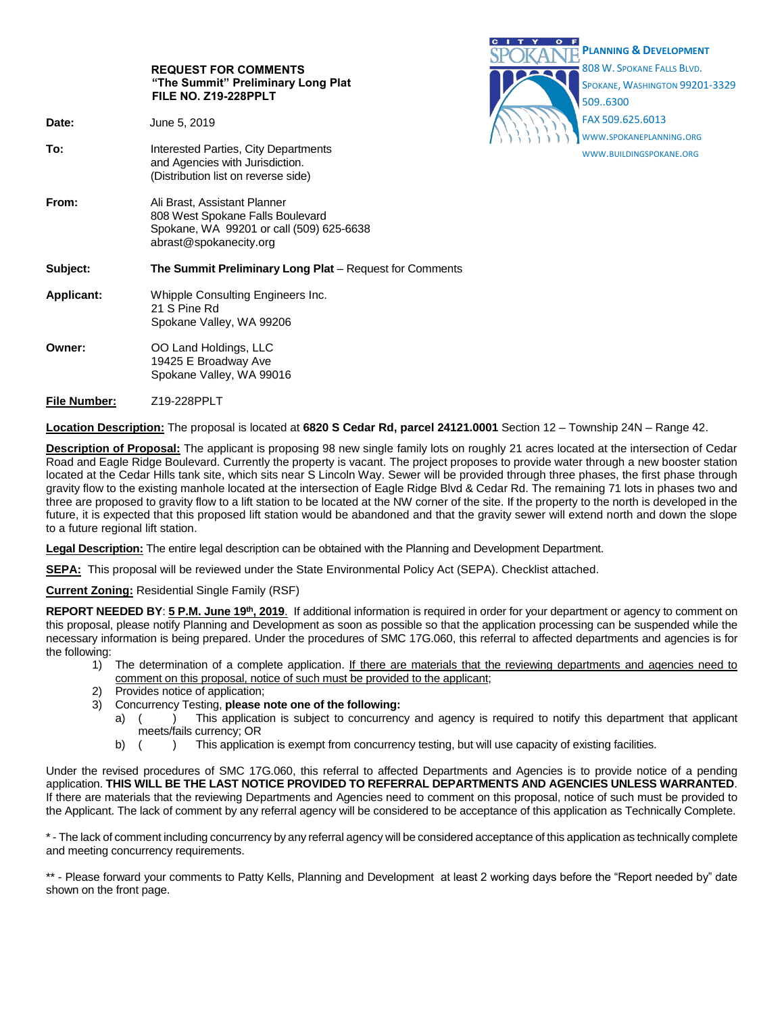|                     |                                                                                                                                        | <b>PLANNING &amp; DEVELOPMENT</b>                                        |
|---------------------|----------------------------------------------------------------------------------------------------------------------------------------|--------------------------------------------------------------------------|
|                     | <b>REQUEST FOR COMMENTS</b><br>"The Summit" Preliminary Long Plat<br>FILE NO. Z19-228PPLT                                              | 808 W. SPOKANE FALLS BLVD.<br>SPOKANE, WASHINGTON 99201-3329<br>509.6300 |
| Date:               | June 5, 2019                                                                                                                           | FAX 509.625.6013                                                         |
| To:                 | Interested Parties, City Departments<br>and Agencies with Jurisdiction.<br>(Distribution list on reverse side)                         | WWW.SPOKANEPLANNING.ORG<br>WWW.BUILDINGSPOKANE.ORG                       |
| From:               | Ali Brast, Assistant Planner<br>808 West Spokane Falls Boulevard<br>Spokane, WA 99201 or call (509) 625-6638<br>abrast@spokanecity.org |                                                                          |
| Subject:            | The Summit Preliminary Long Plat - Request for Comments                                                                                |                                                                          |
| <b>Applicant:</b>   | Whipple Consulting Engineers Inc.<br>21 S Pine Rd<br>Spokane Valley, WA 99206                                                          |                                                                          |
| Owner:              | OO Land Holdings, LLC<br>19425 E Broadway Ave<br>Spokane Valley, WA 99016                                                              |                                                                          |
| <b>File Number:</b> | Z19-228PPLT                                                                                                                            |                                                                          |

CITY OF

**Location Description:** The proposal is located at **6820 S Cedar Rd, parcel 24121.0001** Section 12 – Township 24N – Range 42.

**Description of Proposal:** The applicant is proposing 98 new single family lots on roughly 21 acres located at the intersection of Cedar Road and Eagle Ridge Boulevard. Currently the property is vacant. The project proposes to provide water through a new booster station located at the Cedar Hills tank site, which sits near S Lincoln Way. Sewer will be provided through three phases, the first phase through gravity flow to the existing manhole located at the intersection of Eagle Ridge Blvd & Cedar Rd. The remaining 71 lots in phases two and three are proposed to gravity flow to a lift station to be located at the NW corner of the site. If the property to the north is developed in the future, it is expected that this proposed lift station would be abandoned and that the gravity sewer will extend north and down the slope to a future regional lift station.

**Legal Description:** The entire legal description can be obtained with the Planning and Development Department.

**SEPA:** This proposal will be reviewed under the State Environmental Policy Act (SEPA). Checklist attached.

**Current Zoning:** Residential Single Family (RSF)

**REPORT NEEDED BY**: **5 P.M. June 19th, 2019**. If additional information is required in order for your department or agency to comment on this proposal, please notify Planning and Development as soon as possible so that the application processing can be suspended while the necessary information is being prepared. Under the procedures of SMC 17G.060, this referral to affected departments and agencies is for the following:

- 1) The determination of a complete application. If there are materials that the reviewing departments and agencies need to comment on this proposal, notice of such must be provided to the applicant;
- 2) Provides notice of application;
- 3) Concurrency Testing, **please note one of the following:**
	- a) () This application is subject to concurrency and agency is required to notify this department that applicant meets/fails currency; OR
	- b) () This application is exempt from concurrency testing, but will use capacity of existing facilities.

Under the revised procedures of SMC 17G.060, this referral to affected Departments and Agencies is to provide notice of a pending application. **THIS WILL BE THE LAST NOTICE PROVIDED TO REFERRAL DEPARTMENTS AND AGENCIES UNLESS WARRANTED**. If there are materials that the reviewing Departments and Agencies need to comment on this proposal, notice of such must be provided to the Applicant. The lack of comment by any referral agency will be considered to be acceptance of this application as Technically Complete.

\* - The lack of comment including concurrency by any referral agency will be considered acceptance of this application as technically complete and meeting concurrency requirements.

\*\* - Please forward your comments to Patty Kells, Planning and Development at least 2 working days before the "Report needed by" date shown on the front page.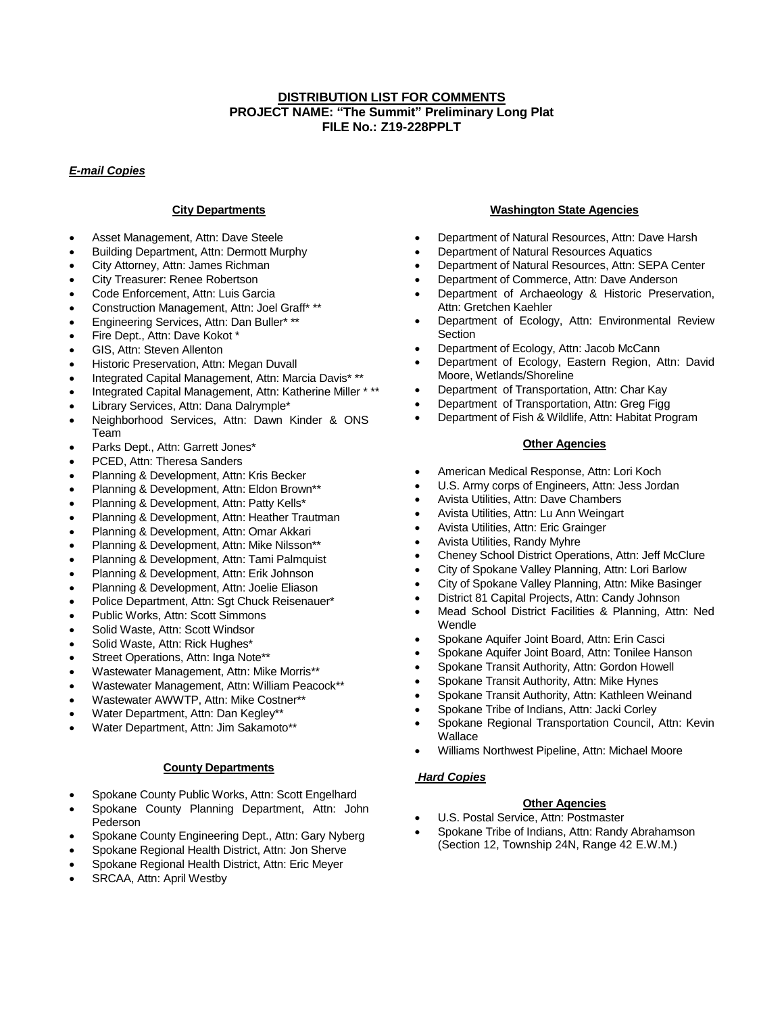# **DISTRIBUTION LIST FOR COMMENTS PROJECT NAME: "The Summit" Preliminary Long Plat FILE No.: Z19-228PPLT**

## *E-mail Copies*

### **City Departments**

- Asset Management, Attn: Dave Steele
- Building Department, Attn: Dermott Murphy
- City Attorney, Attn: James Richman
- City Treasurer: Renee Robertson
- Code Enforcement, Attn: Luis Garcia
- Construction Management, Attn: Joel Graff\* \*\*
- Engineering Services, Attn: Dan Buller\* \*\*
- Fire Dept., Attn: Dave Kokot \*
- GIS, Attn: Steven Allenton
- Historic Preservation, Attn: Megan Duvall
- Integrated Capital Management, Attn: Marcia Davis\* \*\*
- Integrated Capital Management, Attn: Katherine Miller \* \*\*
- Library Services, Attn: Dana Dalrymple\*
- Neighborhood Services, Attn: Dawn Kinder & ONS Team
- Parks Dept., Attn: Garrett Jones\*
- PCED, Attn: Theresa Sanders
- Planning & Development, Attn: Kris Becker
- Planning & Development, Attn: Eldon Brown\*\*
- Planning & Development, Attn: Patty Kells\*
- Planning & Development, Attn: Heather Trautman
- Planning & Development, Attn: Omar Akkari
- Planning & Development, Attn: Mike Nilsson\*\*
- Planning & Development, Attn: Tami Palmquist
- Planning & Development, Attn: Erik Johnson
- Planning & Development, Attn: Joelie Eliason
- Police Department, Attn: Sgt Chuck Reisenauer\*
- Public Works, Attn: Scott Simmons
- Solid Waste, Attn: Scott Windsor
- Solid Waste, Attn: Rick Hughes\*
- Street Operations, Attn: Inga Note\*\*
- Wastewater Management, Attn: Mike Morris\*\*
- Wastewater Management, Attn: William Peacock\*\*
- 
- Wastewater AWWTP, Attn: Mike Costner\*\*
- Water Department, Attn: Dan Kegley\*\*
- Water Department, Attn: Jim Sakamoto\*\*

#### **County Departments**

- Spokane County Public Works, Attn: Scott Engelhard
- Spokane County Planning Department, Attn: John Pederson
- Spokane County Engineering Dept., Attn: Gary Nyberg
- Spokane Regional Health District, Attn: Jon Sherve
- Spokane Regional Health District, Attn: Eric Meyer
- SRCAA, Attn: April Westby

#### **Washington State Agencies**

- Department of Natural Resources, Attn: Dave Harsh
- Department of Natural Resources Aquatics
- Department of Natural Resources, Attn: SEPA Center
- Department of Commerce, Attn: Dave Anderson
- Department of Archaeology & Historic Preservation, Attn: Gretchen Kaehler
- Department of Ecology, Attn: Environmental Review **Section**
- Department of Ecology, Attn: Jacob McCann
- Department of Ecology, Eastern Region, Attn: David Moore, Wetlands/Shoreline
- Department of Transportation, Attn: Char Kay
- Department of Transportation, Attn: Greg Figg
- Department of Fish & Wildlife, Attn: Habitat Program

#### **Other Agencies**

- American Medical Response, Attn: Lori Koch
- U.S. Army corps of Engineers, Attn: Jess Jordan
- Avista Utilities, Attn: Dave Chambers
- Avista Utilities, Attn: Lu Ann Weingart
- Avista Utilities, Attn: Eric Grainger
- Avista Utilities, Randy Myhre
- Cheney School District Operations, Attn: Jeff McClure
- City of Spokane Valley Planning, Attn: Lori Barlow
- City of Spokane Valley Planning, Attn: Mike Basinger
- District 81 Capital Projects, Attn: Candy Johnson
- Mead School District Facilities & Planning, Attn: Ned Wendle
- Spokane Aquifer Joint Board, Attn: Erin Casci
- Spokane Aquifer Joint Board, Attn: Tonilee Hanson
- Spokane Transit Authority, Attn: Gordon Howell
- Spokane Transit Authority, Attn: Mike Hynes
- Spokane Transit Authority, Attn: Kathleen Weinand
- Spokane Tribe of Indians, Attn: Jacki Corley
- Spokane Regional Transportation Council, Attn: Kevin **Wallace**
- Williams Northwest Pipeline, Attn: Michael Moore

#### *Hard Copies*

# **Other Agencies**

- U.S. Postal Service, Attn: Postmaster
- Spokane Tribe of Indians, Attn: Randy Abrahamson (Section 12, Township 24N, Range 42 E.W.M.)